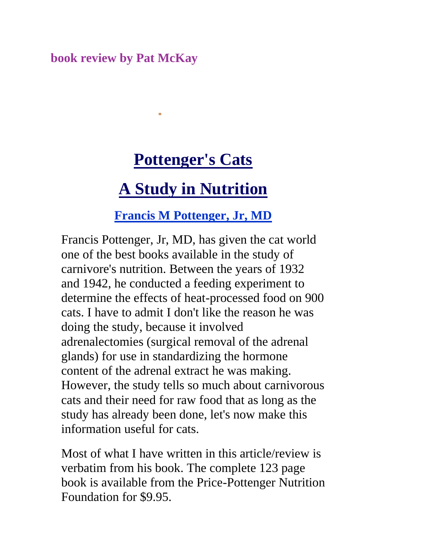#### **book review by Pat McKay**

# **Pottenger's Cats**

# **A Study in Nutrition**

#### **Francis M Pottenger, Jr, MD**

Francis Pottenger, Jr, MD, has given the cat world one of the best books available in the study of carnivore's nutrition. Between the years of 1932 and 1942, he conducted a feeding experiment to determine the effects of heat-processed food on 900 cats. I have to admit I don't like the reason he was doing the study, because it involved adrenalectomies (surgical removal of the adrenal glands) for use in standardizing the hormone content of the adrenal extract he was making. However, the study tells so much about carnivorous cats and their need for raw food that as long as the study has already been done, let's now make this information useful for cats.

Most of what I have written in this article/review is verbatim from his book. The complete 123 page book is available from the Price-Pottenger Nutrition Foundation for \$9.95.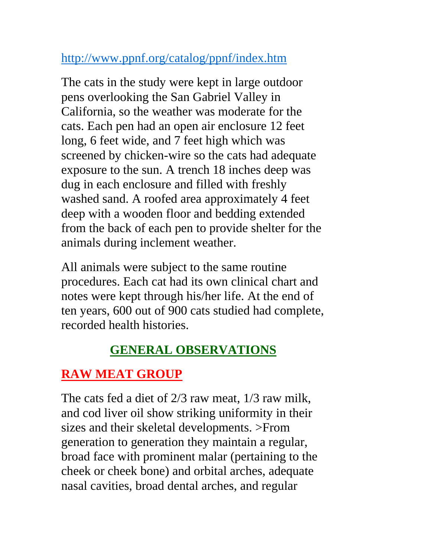### <http://www.ppnf.org/catalog/ppnf/index.htm>

The cats in the study were kept in large outdoor pens overlooking the San Gabriel Valley in California, so the weather was moderate for the cats. Each pen had an open air enclosure 12 feet long, 6 feet wide, and 7 feet high which was screened by chicken-wire so the cats had adequate exposure to the sun. A trench 18 inches deep was dug in each enclosure and filled with freshly washed sand. A roofed area approximately 4 feet deep with a wooden floor and bedding extended from the back of each pen to provide shelter for the animals during inclement weather.

All animals were subject to the same routine procedures. Each cat had its own clinical chart and notes were kept through his/her life. At the end of ten years, 600 out of 900 cats studied had complete, recorded health histories.

## **GENERAL OBSERVATIONS**

# **RAW MEAT GROUP**

The cats fed a diet of 2/3 raw meat, 1/3 raw milk, and cod liver oil show striking uniformity in their sizes and their skeletal developments. >From generation to generation they maintain a regular, broad face with prominent malar (pertaining to the cheek or cheek bone) and orbital arches, adequate nasal cavities, broad dental arches, and regular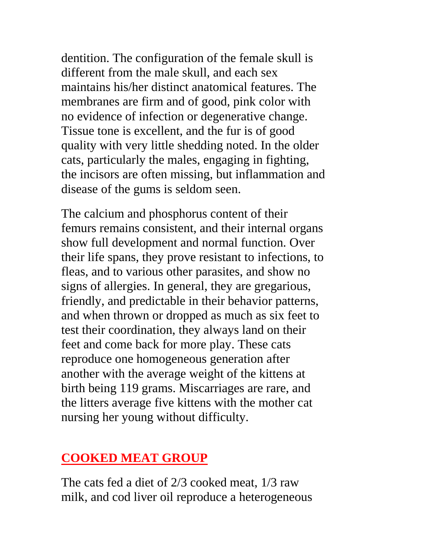dentition. The configuration of the female skull is different from the male skull, and each sex maintains his/her distinct anatomical features. The membranes are firm and of good, pink color with no evidence of infection or degenerative change. Tissue tone is excellent, and the fur is of good quality with very little shedding noted. In the older cats, particularly the males, engaging in fighting, the incisors are often missing, but inflammation and disease of the gums is seldom seen.

The calcium and phosphorus content of their femurs remains consistent, and their internal organs show full development and normal function. Over their life spans, they prove resistant to infections, to fleas, and to various other parasites, and show no signs of allergies. In general, they are gregarious, friendly, and predictable in their behavior patterns, and when thrown or dropped as much as six feet to test their coordination, they always land on their feet and come back for more play. These cats reproduce one homogeneous generation after another with the average weight of the kittens at birth being 119 grams. Miscarriages are rare, and the litters average five kittens with the mother cat nursing her young without difficulty.

#### **COOKED MEAT GROUP**

The cats fed a diet of 2/3 cooked meat, 1/3 raw milk, and cod liver oil reproduce a heterogeneous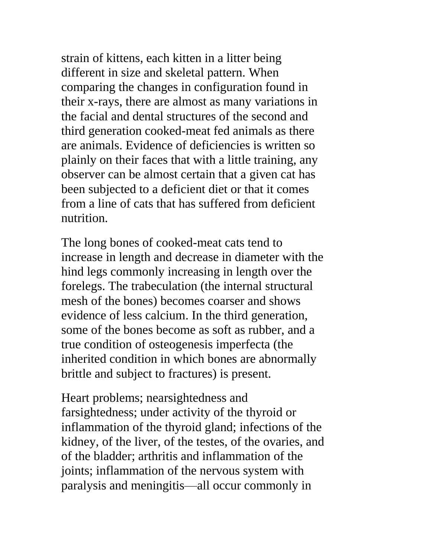strain of kittens, each kitten in a litter being different in size and skeletal pattern. When comparing the changes in configuration found in their x-rays, there are almost as many variations in the facial and dental structures of the second and third generation cooked-meat fed animals as there are animals. Evidence of deficiencies is written so plainly on their faces that with a little training, any observer can be almost certain that a given cat has been subjected to a deficient diet or that it comes from a line of cats that has suffered from deficient nutrition.

The long bones of cooked-meat cats tend to increase in length and decrease in diameter with the hind legs commonly increasing in length over the forelegs. The trabeculation (the internal structural mesh of the bones) becomes coarser and shows evidence of less calcium. In the third generation, some of the bones become as soft as rubber, and a true condition of osteogenesis imperfecta (the inherited condition in which bones are abnormally brittle and subject to fractures) is present.

Heart problems; nearsightedness and farsightedness; under activity of the thyroid or inflammation of the thyroid gland; infections of the kidney, of the liver, of the testes, of the ovaries, and of the bladder; arthritis and inflammation of the joints; inflammation of the nervous system with paralysis and meningitis—all occur commonly in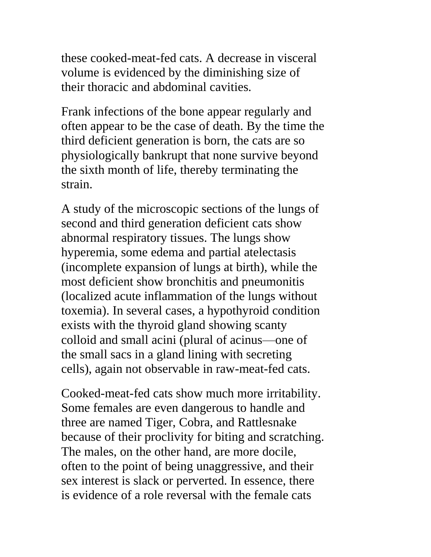these cooked-meat-fed cats. A decrease in visceral volume is evidenced by the diminishing size of their thoracic and abdominal cavities.

Frank infections of the bone appear regularly and often appear to be the case of death. By the time the third deficient generation is born, the cats are so physiologically bankrupt that none survive beyond the sixth month of life, thereby terminating the strain.

A study of the microscopic sections of the lungs of second and third generation deficient cats show abnormal respiratory tissues. The lungs show hyperemia, some edema and partial atelectasis (incomplete expansion of lungs at birth), while the most deficient show bronchitis and pneumonitis (localized acute inflammation of the lungs without toxemia). In several cases, a hypothyroid condition exists with the thyroid gland showing scanty colloid and small acini (plural of acinus—one of the small sacs in a gland lining with secreting cells), again not observable in raw-meat-fed cats.

Cooked-meat-fed cats show much more irritability. Some females are even dangerous to handle and three are named Tiger, Cobra, and Rattlesnake because of their proclivity for biting and scratching. The males, on the other hand, are more docile, often to the point of being unaggressive, and their sex interest is slack or perverted. In essence, there is evidence of a role reversal with the female cats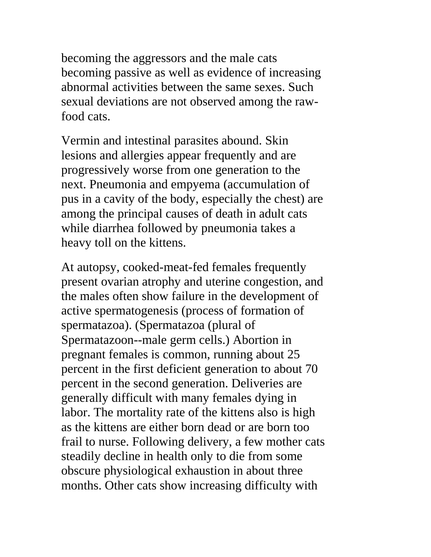becoming the aggressors and the male cats becoming passive as well as evidence of increasing abnormal activities between the same sexes. Such sexual deviations are not observed among the rawfood cats.

Vermin and intestinal parasites abound. Skin lesions and allergies appear frequently and are progressively worse from one generation to the next. Pneumonia and empyema (accumulation of pus in a cavity of the body, especially the chest) are among the principal causes of death in adult cats while diarrhea followed by pneumonia takes a heavy toll on the kittens.

At autopsy, cooked-meat-fed females frequently present ovarian atrophy and uterine congestion, and the males often show failure in the development of active spermatogenesis (process of formation of spermatazoa). (Spermatazoa (plural of Spermatazoon--male germ cells.) Abortion in pregnant females is common, running about 25 percent in the first deficient generation to about 70 percent in the second generation. Deliveries are generally difficult with many females dying in labor. The mortality rate of the kittens also is high as the kittens are either born dead or are born too frail to nurse. Following delivery, a few mother cats steadily decline in health only to die from some obscure physiological exhaustion in about three months. Other cats show increasing difficulty with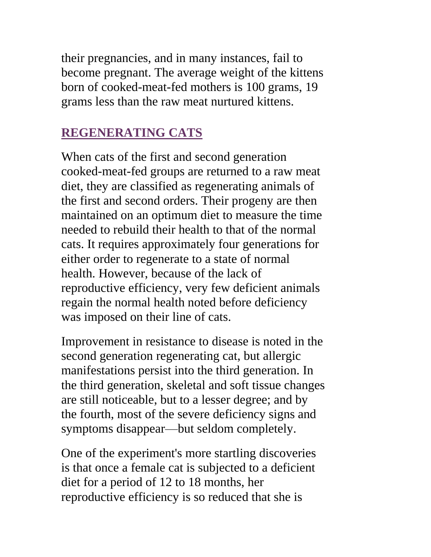their pregnancies, and in many instances, fail to become pregnant. The average weight of the kittens born of cooked-meat-fed mothers is 100 grams, 19 grams less than the raw meat nurtured kittens.

#### **REGENERATING CATS**

When cats of the first and second generation cooked-meat-fed groups are returned to a raw meat diet, they are classified as regenerating animals of the first and second orders. Their progeny are then maintained on an optimum diet to measure the time needed to rebuild their health to that of the normal cats. It requires approximately four generations for either order to regenerate to a state of normal health. However, because of the lack of reproductive efficiency, very few deficient animals regain the normal health noted before deficiency was imposed on their line of cats.

Improvement in resistance to disease is noted in the second generation regenerating cat, but allergic manifestations persist into the third generation. In the third generation, skeletal and soft tissue changes are still noticeable, but to a lesser degree; and by the fourth, most of the severe deficiency signs and symptoms disappear—but seldom completely.

One of the experiment's more startling discoveries is that once a female cat is subjected to a deficient diet for a period of 12 to 18 months, her reproductive efficiency is so reduced that she is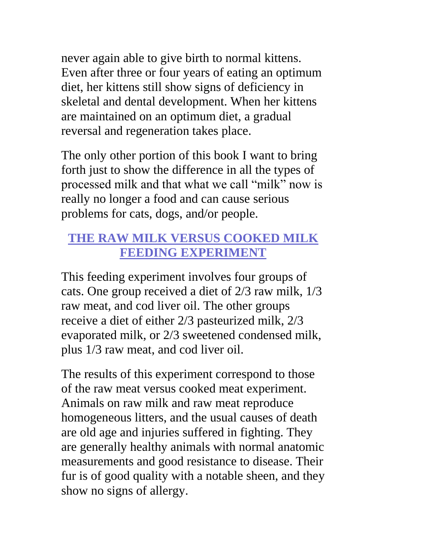never again able to give birth to normal kittens. Even after three or four years of eating an optimum diet, her kittens still show signs of deficiency in skeletal and dental development. When her kittens are maintained on an optimum diet, a gradual reversal and regeneration takes place.

The only other portion of this book I want to bring forth just to show the difference in all the types of processed milk and that what we call "milk" now is really no longer a food and can cause serious problems for cats, dogs, and/or people.

## **THE RAW MILK VERSUS COOKED MILK FEEDING EXPERIMENT**

This feeding experiment involves four groups of cats. One group received a diet of 2/3 raw milk, 1/3 raw meat, and cod liver oil. The other groups receive a diet of either 2/3 pasteurized milk, 2/3 evaporated milk, or 2/3 sweetened condensed milk, plus 1/3 raw meat, and cod liver oil.

The results of this experiment correspond to those of the raw meat versus cooked meat experiment. Animals on raw milk and raw meat reproduce homogeneous litters, and the usual causes of death are old age and injuries suffered in fighting. They are generally healthy animals with normal anatomic measurements and good resistance to disease. Their fur is of good quality with a notable sheen, and they show no signs of allergy.